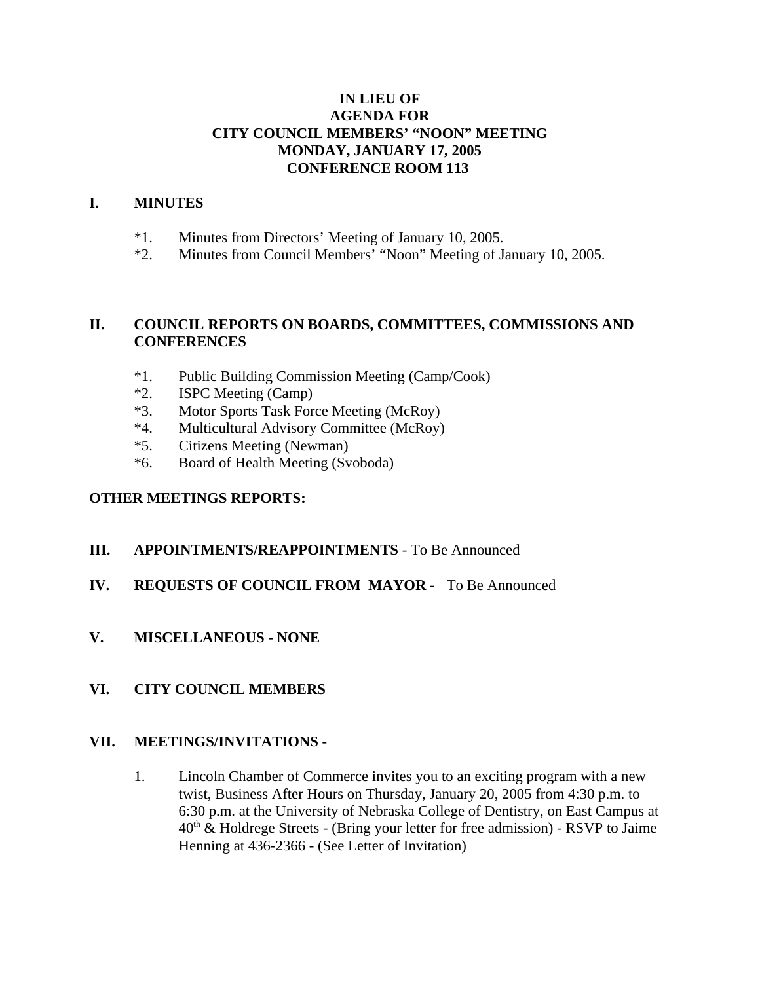# **IN LIEU OF AGENDA FOR CITY COUNCIL MEMBERS' "NOON" MEETING MONDAY, JANUARY 17, 2005 CONFERENCE ROOM 113**

# **I. MINUTES**

- \*1. Minutes from Directors' Meeting of January 10, 2005.
- \*2. Minutes from Council Members' "Noon" Meeting of January 10, 2005.

# **II. COUNCIL REPORTS ON BOARDS, COMMITTEES, COMMISSIONS AND CONFERENCES**

- \*1. Public Building Commission Meeting (Camp/Cook)
- \*2. ISPC Meeting (Camp)
- \*3. Motor Sports Task Force Meeting (McRoy)
- \*4. Multicultural Advisory Committee (McRoy)
- \*5. Citizens Meeting (Newman)
- \*6. Board of Health Meeting (Svoboda)

#### **OTHER MEETINGS REPORTS:**

### **III. APPOINTMENTS/REAPPOINTMENTS** - To Be Announced

### **IV. REQUESTS OF COUNCIL FROM MAYOR -** To Be Announced

**V. MISCELLANEOUS - NONE**

### **VI. CITY COUNCIL MEMBERS**

#### **VII. MEETINGS/INVITATIONS -**

1. Lincoln Chamber of Commerce invites you to an exciting program with a new twist, Business After Hours on Thursday, January 20, 2005 from 4:30 p.m. to 6:30 p.m. at the University of Nebraska College of Dentistry, on East Campus at  $40<sup>th</sup>$  & Holdrege Streets - (Bring your letter for free admission) - RSVP to Jaime Henning at 436-2366 - (See Letter of Invitation)